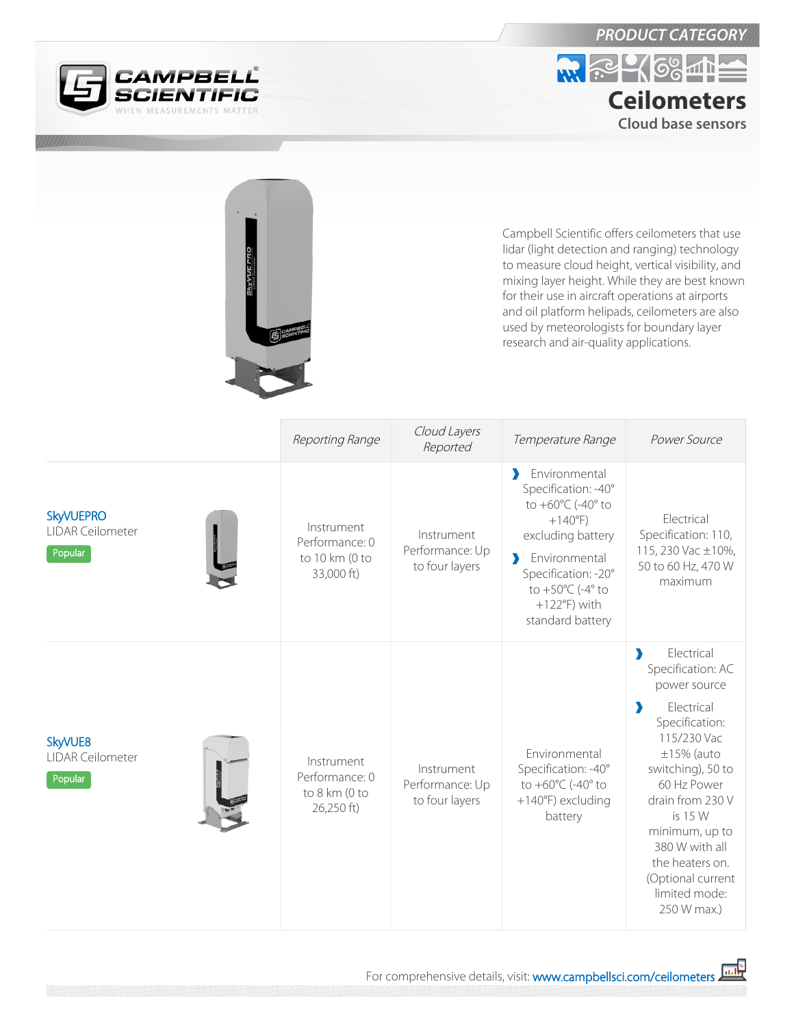

## *PRODUCT CATEGORY*



|                                                        |                                                              |                                                 | Campbell Scientific offers ceilometers that use<br>lidar (light detection and ranging) technology<br>to measure cloud height, vertical visibility, and<br>mixing layer height. While they are best known<br>for their use in aircraft operations at airports<br>and oil platform helipads, ceilometers are also<br>used by meteorologists for boundary layer<br>research and air-quality applications. |                                                                                                                                                                                                                                                                                                                                 |
|--------------------------------------------------------|--------------------------------------------------------------|-------------------------------------------------|--------------------------------------------------------------------------------------------------------------------------------------------------------------------------------------------------------------------------------------------------------------------------------------------------------------------------------------------------------------------------------------------------------|---------------------------------------------------------------------------------------------------------------------------------------------------------------------------------------------------------------------------------------------------------------------------------------------------------------------------------|
|                                                        | Reporting Range                                              | Cloud Layers<br>Reported                        | Temperature Range                                                                                                                                                                                                                                                                                                                                                                                      | Power Source                                                                                                                                                                                                                                                                                                                    |
| <b>SkyVUEPRO</b><br><b>LIDAR Ceilometer</b><br>Popular | Instrument<br>Performance: 0<br>to 10 km (0 to<br>33,000 ft) | Instrument<br>Performance: Up<br>to four layers | Environmental<br>э<br>Specification: - 40°<br>to +60°C (-40° to<br>$+140^{\circ}F$<br>excluding battery<br>Environmental<br>$\blacktriangleright$<br>Specification: -20°<br>to $+50^{\circ}$ C (-4° to<br>$+122^{\circ}F$ ) with<br>standard battery                                                                                                                                                   | Electrical<br>Specification: 110,<br>115, 230 Vac ±10%,<br>50 to 60 Hz, 470 W<br>maximum                                                                                                                                                                                                                                        |
| SkyVUE8<br><b>LIDAR Ceilometer</b><br>Popular          | Instrument<br>Performance: 0<br>to 8 km (0 to<br>26,250 ft)  | Instrument<br>Performance: Up<br>to four layers | Environmental<br>Specification: - 40°<br>to +60°C (-40° to<br>+140°F) excluding<br>battery                                                                                                                                                                                                                                                                                                             | Electrical<br>$\blacktriangleright$<br>Specification: AC<br>power source<br>Electrical<br>э<br>Specification:<br>115/230 Vac<br>$\pm 15\%$ (auto<br>switching), 50 to<br>60 Hz Power<br>drain from 230 V<br>is 15 W<br>minimum, up to<br>380 W with all<br>the heaters on.<br>(Optional current<br>limited mode:<br>250 W max.) |